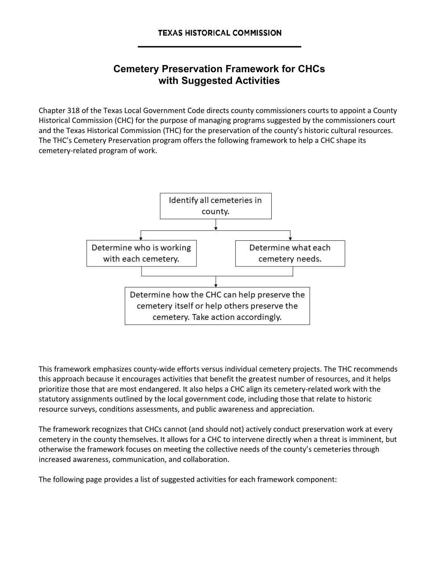## **Cemetery Preservation Framework for CHCs with Suggested Activities**

Chapter 318 of the Texas Local Government Code directs county commissioners courts to appoint a County Historical Commission (CHC) for the purpose of managing programs suggested by the commissioners court and the Texas Historical Commission (THC) for the preservation of the county's historic cultural resources. The THC's Cemetery Preservation program offers the following framework to help a CHC shape its cemetery-related program of work.



This framework emphasizes county-wide efforts versus individual cemetery projects. The THC recommends this approach because it encourages activities that benefit the greatest number of resources, and it helps prioritize those that are most endangered. It also helps a CHC align its cemetery-related work with the statutory assignments outlined by the local government code, including those that relate to historic resource surveys, conditions assessments, and public awareness and appreciation.

The framework recognizes that CHCs cannot (and should not) actively conduct preservation work at every cemetery in the county themselves. It allows for a CHC to intervene directly when a threat is imminent, but otherwise the framework focuses on meeting the collective needs of the county's cemeteries through increased awareness, communication, and collaboration.

The following page provides a list of suggested activities for each framework component: